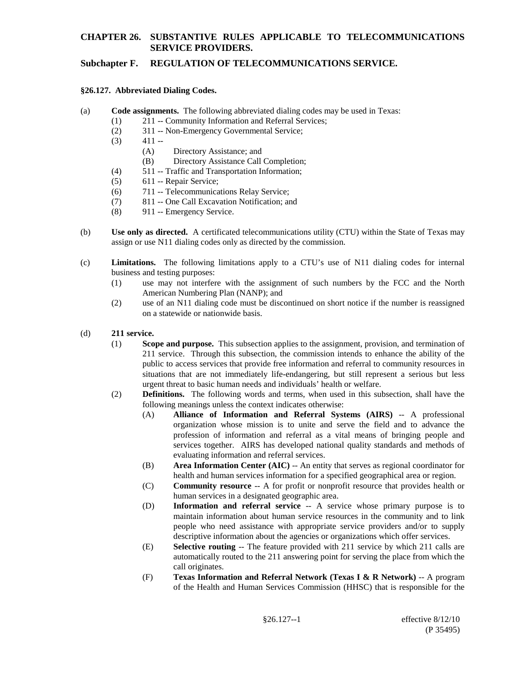## **Subchapter F. REGULATION OF TELECOMMUNICATIONS SERVICE.**

#### **§26.127. Abbreviated Dialing Codes.**

- (a) **Code assignments.** The following abbreviated dialing codes may be used in Texas:
	- (1) 211 -- Community Information and Referral Services;
	- (2) 311 -- Non-Emergency Governmental Service;
	- $(3)$  411 --
		- (A) Directory Assistance; and
		- (B) Directory Assistance Call Completion;
	- (4) 511 -- Traffic and Transportation Information;
	- $(5)$  611 -- Repair Service:
	- (6) 711 -- Telecommunications Relay Service;
	- (7) 811 -- One Call Excavation Notification; and
	- (8) 911 -- Emergency Service.
- (b) **Use only as directed.** A certificated telecommunications utility (CTU) within the State of Texas may assign or use N11 dialing codes only as directed by the commission.
- (c) **Limitations.** The following limitations apply to a CTU's use of N11 dialing codes for internal business and testing purposes:
	- (1) use may not interfere with the assignment of such numbers by the FCC and the North American Numbering Plan (NANP); and
	- (2) use of an N11 dialing code must be discontinued on short notice if the number is reassigned on a statewide or nationwide basis.

#### (d) **211 service.**

- (1) **Scope and purpose.** This subsection applies to the assignment, provision, and termination of 211 service. Through this subsection, the commission intends to enhance the ability of the public to access services that provide free information and referral to community resources in situations that are not immediately life-endangering, but still represent a serious but less urgent threat to basic human needs and individuals' health or welfare.
- (2) **Definitions.** The following words and terms, when used in this subsection, shall have the following meanings unless the context indicates otherwise:
	- (A) **Alliance of Information and Referral Systems (AIRS)** -- A professional organization whose mission is to unite and serve the field and to advance the profession of information and referral as a vital means of bringing people and services together. AIRS has developed national quality standards and methods of evaluating information and referral services.
	- (B) **Area Information Center (AIC)** -- An entity that serves as regional coordinator for health and human services information for a specified geographical area or region.
	- (C) **Community resource** -- A for profit or nonprofit resource that provides health or human services in a designated geographic area.
	- (D) **Information and referral service** -- A service whose primary purpose is to maintain information about human service resources in the community and to link people who need assistance with appropriate service providers and/or to supply descriptive information about the agencies or organizations which offer services.
	- (E) **Selective routing** -- The feature provided with 211 service by which 211 calls are automatically routed to the 211 answering point for serving the place from which the call originates.
	- (F) **Texas Information and Referral Network (Texas I & R Network)** -- A program of the Health and Human Services Commission (HHSC) that is responsible for the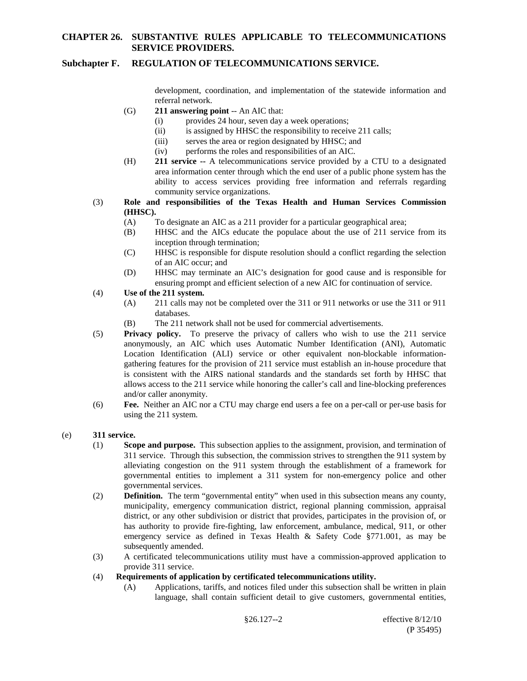#### **Subchapter F. REGULATION OF TELECOMMUNICATIONS SERVICE.**

development, coordination, and implementation of the statewide information and referral network.

- (G) **211 answering point** -- An AIC that:
	- (i) provides 24 hour, seven day a week operations;
	- (ii) is assigned by HHSC the responsibility to receive 211 calls;
	- (iii) serves the area or region designated by HHSC; and<br>(iv) performs the roles and responsibilities of an AIC.
	- performs the roles and responsibilities of an AIC.
- (H) **211 service --** A telecommunications service provided by a CTU to a designated area information center through which the end user of a public phone system has the ability to access services providing free information and referrals regarding community service organizations.
- (3) **Role and responsibilities of the Texas Health and Human Services Commission (HHSC).**
	- (A) To designate an AIC as a 211 provider for a particular geographical area;
	- (B) HHSC and the AICs educate the populace about the use of 211 service from its inception through termination;
	- (C) HHSC is responsible for dispute resolution should a conflict regarding the selection of an AIC occur; and
	- (D) HHSC may terminate an AIC's designation for good cause and is responsible for ensuring prompt and efficient selection of a new AIC for continuation of service.
- (4) **Use of the 211 system.**
	- (A) 211 calls may not be completed over the 311 or 911 networks or use the 311 or 911 databases.
	- (B) The 211 network shall not be used for commercial advertisements.
- (5) **Privacy policy.** To preserve the privacy of callers who wish to use the 211 service anonymously, an AIC which uses Automatic Number Identification (ANI), Automatic Location Identification (ALI) service or other equivalent non-blockable informationgathering features for the provision of 211 service must establish an in-house procedure that is consistent with the AIRS national standards and the standards set forth by HHSC that allows access to the 211 service while honoring the caller's call and line-blocking preferences and/or caller anonymity.
- (6) **Fee.** Neither an AIC nor a CTU may charge end users a fee on a per-call or per-use basis for using the 211 system.
- (e) **311 service.**
	- (1) **Scope and purpose.** This subsection applies to the assignment, provision, and termination of 311 service. Through this subsection, the commission strives to strengthen the 911 system by alleviating congestion on the 911 system through the establishment of a framework for governmental entities to implement a 311 system for non-emergency police and other governmental services.
	- (2) **Definition.** The term "governmental entity" when used in this subsection means any county, municipality, emergency communication district, regional planning commission, appraisal district, or any other subdivision or district that provides, participates in the provision of, or has authority to provide fire-fighting, law enforcement, ambulance, medical, 911, or other emergency service as defined in Texas Health & Safety Code §771.001, as may be subsequently amended.
	- (3) A certificated telecommunications utility must have a commission-approved application to provide 311 service.
	- (4) **Requirements of application by certificated telecommunications utility.**
		- (A) Applications, tariffs, and notices filed under this subsection shall be written in plain language, shall contain sufficient detail to give customers, governmental entities,

§26.127--2 effective 8/12/10 (P 35495)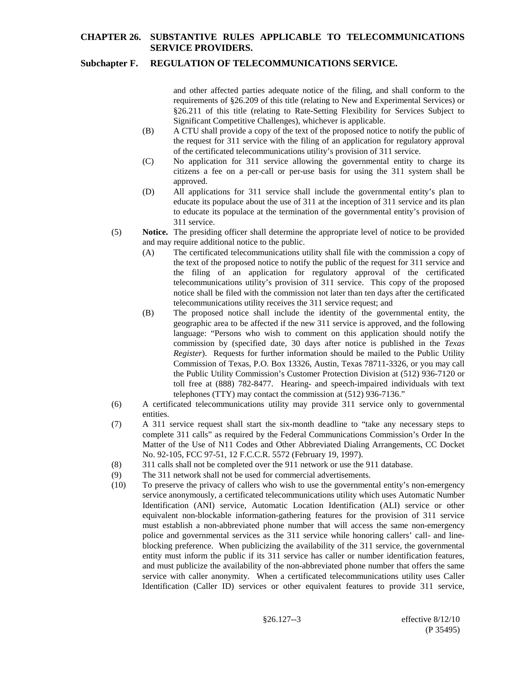## **Subchapter F. REGULATION OF TELECOMMUNICATIONS SERVICE.**

and other affected parties adequate notice of the filing, and shall conform to the requirements of §26.209 of this title (relating to New and Experimental Services) or §26.211 of this title (relating to Rate-Setting Flexibility for Services Subject to Significant Competitive Challenges), whichever is applicable.

- (B) A CTU shall provide a copy of the text of the proposed notice to notify the public of the request for 311 service with the filing of an application for regulatory approval of the certificated telecommunications utility's provision of 311 service.
- (C) No application for 311 service allowing the governmental entity to charge its citizens a fee on a per-call or per-use basis for using the 311 system shall be approved.
- (D) All applications for 311 service shall include the governmental entity's plan to educate its populace about the use of 311 at the inception of 311 service and its plan to educate its populace at the termination of the governmental entity's provision of 311 service.
- (5) **Notice.** The presiding officer shall determine the appropriate level of notice to be provided and may require additional notice to the public.
	- (A) The certificated telecommunications utility shall file with the commission a copy of the text of the proposed notice to notify the public of the request for 311 service and the filing of an application for regulatory approval of the certificated telecommunications utility's provision of 311 service. This copy of the proposed notice shall be filed with the commission not later than ten days after the certificated telecommunications utility receives the 311 service request; and
	- (B) The proposed notice shall include the identity of the governmental entity, the geographic area to be affected if the new 311 service is approved, and the following language: "Persons who wish to comment on this application should notify the commission by (specified date, 30 days after notice is published in the *Texas Register*). Requests for further information should be mailed to the Public Utility Commission of Texas, P.O. Box 13326, Austin, Texas 78711-3326, or you may call the Public Utility Commission's Customer Protection Division at (512) 936-7120 or toll free at (888) 782-8477. Hearing- and speech-impaired individuals with text telephones (TTY) may contact the commission at (512) 936-7136."
- (6) A certificated telecommunications utility may provide 311 service only to governmental entities.
- (7) A 311 service request shall start the six-month deadline to "take any necessary steps to complete 311 calls" as required by the Federal Communications Commission's Order In the Matter of the Use of N11 Codes and Other Abbreviated Dialing Arrangements, CC Docket No. 92-105, FCC 97-51, 12 F.C.C.R. 5572 (February 19, 1997).
- (8) 311 calls shall not be completed over the 911 network or use the 911 database.
- (9) The 311 network shall not be used for commercial advertisements.
- (10) To preserve the privacy of callers who wish to use the governmental entity's non-emergency service anonymously, a certificated telecommunications utility which uses Automatic Number Identification (ANI) service, Automatic Location Identification (ALI) service or other equivalent non-blockable information-gathering features for the provision of 311 service must establish a non-abbreviated phone number that will access the same non-emergency police and governmental services as the 311 service while honoring callers' call- and lineblocking preference. When publicizing the availability of the 311 service, the governmental entity must inform the public if its 311 service has caller or number identification features, and must publicize the availability of the non-abbreviated phone number that offers the same service with caller anonymity. When a certificated telecommunications utility uses Caller Identification (Caller ID) services or other equivalent features to provide 311 service,